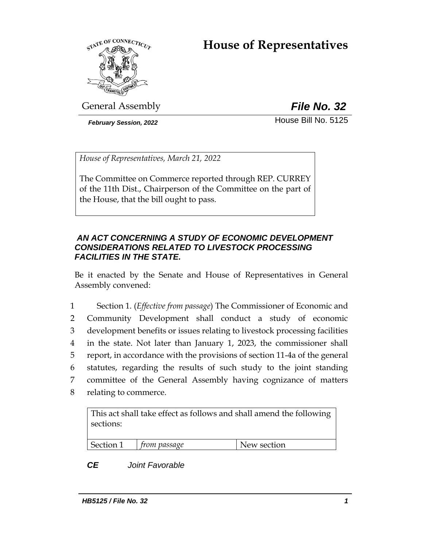# **House of Representatives**



General Assembly *File No. 32*

**February Session, 2022 House Bill No. 5125** 

*House of Representatives, March 21, 2022*

The Committee on Commerce reported through REP. CURREY of the 11th Dist., Chairperson of the Committee on the part of the House, that the bill ought to pass.

## *AN ACT CONCERNING A STUDY OF ECONOMIC DEVELOPMENT CONSIDERATIONS RELATED TO LIVESTOCK PROCESSING FACILITIES IN THE STATE.*

Be it enacted by the Senate and House of Representatives in General Assembly convened:

 Section 1. (*Effective from passage*) The Commissioner of Economic and Community Development shall conduct a study of economic development benefits or issues relating to livestock processing facilities in the state. Not later than January 1, 2023, the commissioner shall report, in accordance with the provisions of section 11-4a of the general statutes, regarding the results of such study to the joint standing committee of the General Assembly having cognizance of matters relating to commerce.

This act shall take effect as follows and shall amend the following sections:

| Section 1 | from passage | New section |
|-----------|--------------|-------------|

## *CE Joint Favorable*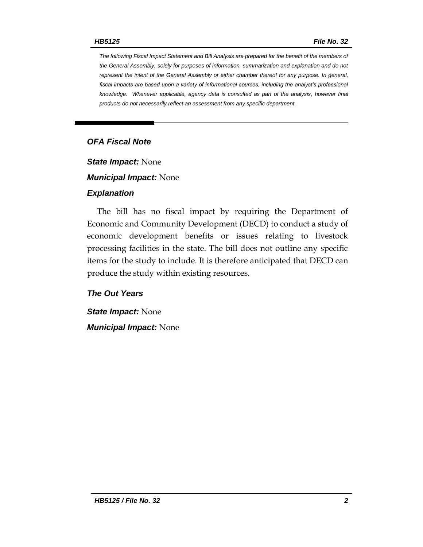*The following Fiscal Impact Statement and Bill Analysis are prepared for the benefit of the members of the General Assembly, solely for purposes of information, summarization and explanation and do not represent the intent of the General Assembly or either chamber thereof for any purpose. In general,*  fiscal impacts are based upon a variety of informational sources, including the analyst's professional *knowledge. Whenever applicable, agency data is consulted as part of the analysis, however final products do not necessarily reflect an assessment from any specific department.*

## *OFA Fiscal Note*

*State Impact:* None

*Municipal Impact:* None

### *Explanation*

The bill has no fiscal impact by requiring the Department of Economic and Community Development (DECD) to conduct a study of economic development benefits or issues relating to livestock processing facilities in the state. The bill does not outline any specific items for the study to include. It is therefore anticipated that DECD can produce the study within existing resources.

## *The Out Years*

*State Impact:* None *Municipal Impact:* None